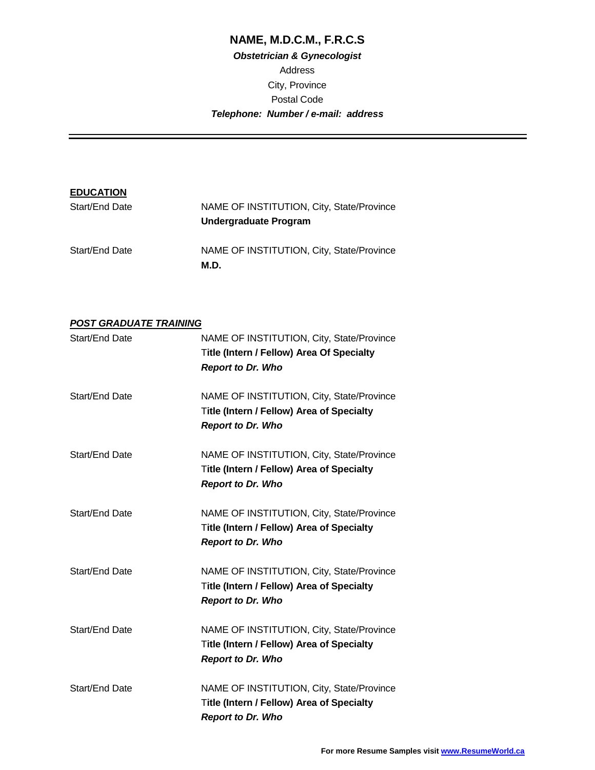# **NAME, M.D.C.M., F.R.C.S**

# **Obstetrician & Gynecologist** Address City, Province Postal Code **Telephone: Number / e-mail: address**

| <b>EDUCATION</b> |                                                   |
|------------------|---------------------------------------------------|
| Start/End Date   | NAME OF INSTITUTION, City, State/Province         |
|                  | <b>Undergraduate Program</b>                      |
| Start/End Date   | NAME OF INSTITUTION, City, State/Province<br>M.D. |

### **POST GRADUATE TRAINING**

| Start/End Date | NAME OF INSTITUTION, City, State/Province<br><b>Title (Intern / Fellow) Area Of Specialty</b><br><b>Report to Dr. Who</b> |
|----------------|---------------------------------------------------------------------------------------------------------------------------|
| Start/End Date | NAME OF INSTITUTION, City, State/Province<br><b>Title (Intern / Fellow) Area of Specialty</b><br><b>Report to Dr. Who</b> |
| Start/End Date | NAME OF INSTITUTION, City, State/Province<br><b>Title (Intern / Fellow) Area of Specialty</b><br><b>Report to Dr. Who</b> |
| Start/End Date | NAME OF INSTITUTION, City, State/Province<br><b>Title (Intern / Fellow) Area of Specialty</b><br><b>Report to Dr. Who</b> |
| Start/End Date | NAME OF INSTITUTION, City, State/Province<br><b>Title (Intern / Fellow) Area of Specialty</b><br><b>Report to Dr. Who</b> |
| Start/End Date | NAME OF INSTITUTION, City, State/Province<br>Title (Intern / Fellow) Area of Specialty<br><b>Report to Dr. Who</b>        |
| Start/End Date | NAME OF INSTITUTION, City, State/Province<br>Title (Intern / Fellow) Area of Specialty<br><b>Report to Dr. Who</b>        |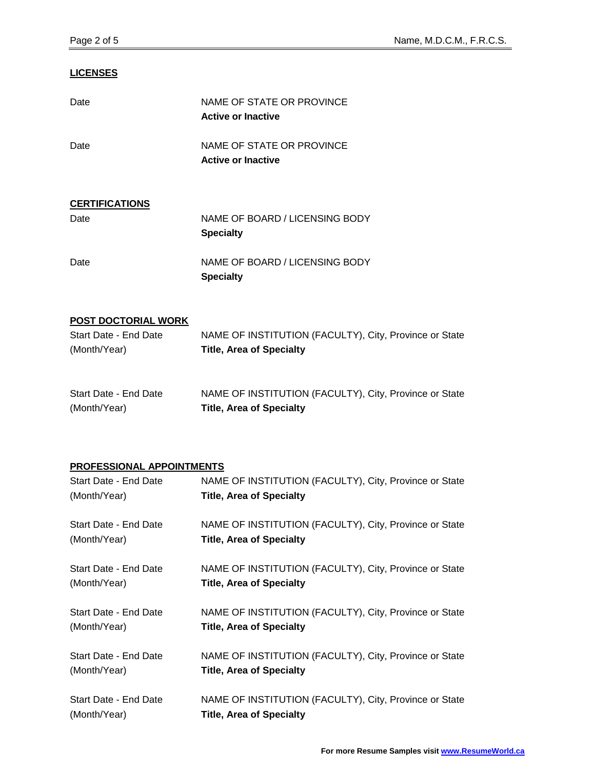### **LICENSES**

| Date                       | NAME OF STATE OR PROVINCE<br><b>Active or Inactive</b> |
|----------------------------|--------------------------------------------------------|
| Date                       | NAME OF STATE OR PROVINCE<br><b>Active or Inactive</b> |
| <b>CERTIFICATIONS</b>      |                                                        |
| Date                       | NAME OF BOARD / LICENSING BODY<br><b>Specialty</b>     |
| Date                       | NAME OF BOARD / LICENSING BODY<br><b>Specialty</b>     |
| <b>POST DOCTORIAL WORK</b> |                                                        |
| Start Date - End Date      | NAME OF INSTITUTION (FACULTY), City, Province or State |
| (Month/Year)               | <b>Title, Area of Specialty</b>                        |
| Start Date - End Date      | NAME OF INSTITUTION (FACULTY), City, Province or State |
| (Month/Year)               | <b>Title, Area of Specialty</b>                        |
| PROFESSIONAL APPOINTMENTS  |                                                        |
| Start Date - End Date      | NAME OF INSTITUTION (FACULTY), City, Province or State |
| (Month/Year)               | <b>Title, Area of Specialty</b>                        |
| Start Date - End Date      | NAME OF INSTITUTION (FACULTY), City, Province or State |
| (Month/Year)               | <b>Title, Area of Specialty</b>                        |
| Start Date - End Date      | NAME OF INSTITUTION (FACULTY), City, Province or State |
| (Month/Year)               | <b>Title, Area of Specialty</b>                        |
| Start Date - End Date      | NAME OF INSTITUTION (FACULTY), City, Province or State |
| (Month/Year)               | <b>Title, Area of Specialty</b>                        |
| Start Date - End Date      | NAME OF INSTITUTION (FACULTY), City, Province or State |
| (Month/Year)               | <b>Title, Area of Specialty</b>                        |
| Start Date - End Date      | NAME OF INSTITUTION (FACULTY), City, Province or State |
| (Month/Year)               | <b>Title, Area of Specialty</b>                        |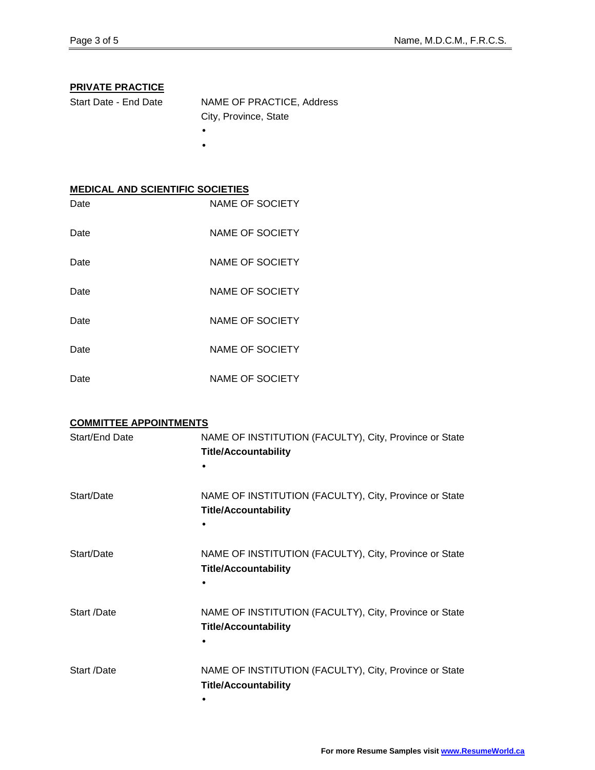## **PRIVATE PRACTICE**

| Start Date - End Date | NAME OF PRACTICE, Address |
|-----------------------|---------------------------|
|                       | City, Province, State     |
|                       |                           |

•

## **MEDICAL AND SCIENTIFIC SOCIETIES**

| Date | <b>NAME OF SOCIETY</b> |
|------|------------------------|
| Date | NAME OF SOCIETY        |
| Date | NAME OF SOCIETY        |
| Date | NAME OF SOCIETY        |
| Date | NAME OF SOCIETY        |
| Date | NAME OF SOCIETY        |
| Date | <b>NAME OF SOCIETY</b> |

| Start/End Date | NAME OF INSTITUTION (FACULTY), City, Province or State<br><b>Title/Accountability</b> |
|----------------|---------------------------------------------------------------------------------------|
| Start/Date     | NAME OF INSTITUTION (FACULTY), City, Province or State<br><b>Title/Accountability</b> |
| Start/Date     | NAME OF INSTITUTION (FACULTY), City, Province or State<br><b>Title/Accountability</b> |
| Start /Date    | NAME OF INSTITUTION (FACULTY), City, Province or State<br><b>Title/Accountability</b> |
| Start /Date    | NAME OF INSTITUTION (FACULTY), City, Province or State<br><b>Title/Accountability</b> |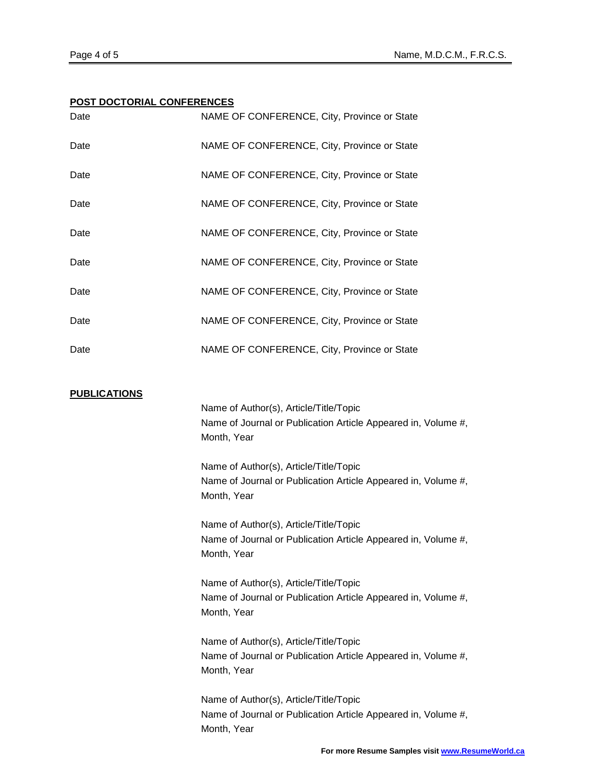#### **POST DOCTORIAL CONFERENCES**

| Date                | NAME OF CONFERENCE, City, Province or State                                                                            |
|---------------------|------------------------------------------------------------------------------------------------------------------------|
| Date                | NAME OF CONFERENCE, City, Province or State                                                                            |
| Date                | NAME OF CONFERENCE, City, Province or State                                                                            |
| Date                | NAME OF CONFERENCE, City, Province or State                                                                            |
| Date                | NAME OF CONFERENCE, City, Province or State                                                                            |
| Date                | NAME OF CONFERENCE, City, Province or State                                                                            |
| Date                | NAME OF CONFERENCE, City, Province or State                                                                            |
| Date                | NAME OF CONFERENCE, City, Province or State                                                                            |
| Date                | NAME OF CONFERENCE, City, Province or State                                                                            |
| <u>PUBLICATIONS</u> | Name of Author(s), Article/Title/Topic<br>Name of Journal or Publication Article Appeared in, Volume #,<br>Month, Year |
|                     | Name of Author(s), Article/Title/Topic<br>Name of Journal or Publication Article Appeared in, Volume #,<br>Month, Year |
|                     | Name of Author(s), Article/Title/Topic<br>Name of Journal or Publication Article Appeared in, Volume #,<br>Month, Year |
|                     | Name of Author(s), Article/Title/Topic<br>Name of Journal or Publication Article Appeared in, Volume #,<br>Month, Year |
|                     | Name of Author(s), Article/Title/Topic<br>Name of Journal or Publication Article Appeared in, Volume #,<br>Month, Year |
|                     | Name of Author(s), Article/Title/Topic<br>Name of Journal or Publication Article Appeared in, Volume #,<br>Month, Year |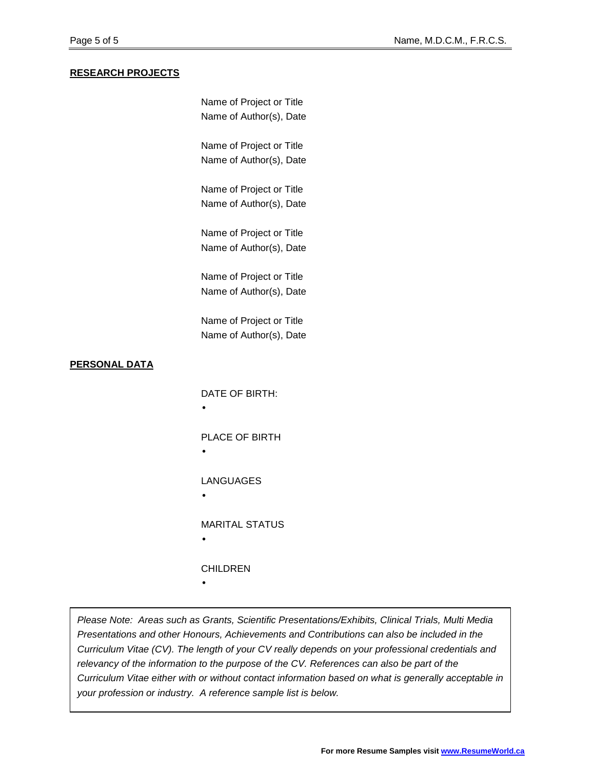#### **RESEARCH PROJECTS**

|                      | Name of Project or Title |
|----------------------|--------------------------|
|                      | Name of Author(s), Date  |
|                      | Name of Project or Title |
|                      | Name of Author(s), Date  |
|                      | Name of Project or Title |
|                      | Name of Author(s), Date  |
|                      | Name of Project or Title |
|                      | Name of Author(s), Date  |
|                      | Name of Project or Title |
|                      | Name of Author(s), Date  |
|                      | Name of Project or Title |
|                      | Name of Author(s), Date  |
| <b>PERSONAL DATA</b> |                          |
|                      |                          |
|                      | DATE OF BIRTH:           |
|                      |                          |
|                      | PLACE OF BIRTH<br>٠      |
|                      |                          |
|                      | <b>LANGUAGES</b>         |
|                      |                          |
|                      | <b>MARITAL STATUS</b>    |
|                      |                          |
|                      | <b>CHILDREN</b>          |
|                      |                          |

Please Note: Areas such as Grants, Scientific Presentations/Exhibits, Clinical Trials, Multi Media Presentations and other Honours, Achievements and Contributions can also be included in the Curriculum Vitae (CV). The length of your CV really depends on your professional credentials and relevancy of the information to the purpose of the CV. References can also be part of the Curriculum Vitae either with or without contact information based on what is generally acceptable in your profession or industry. A reference sample list is below.